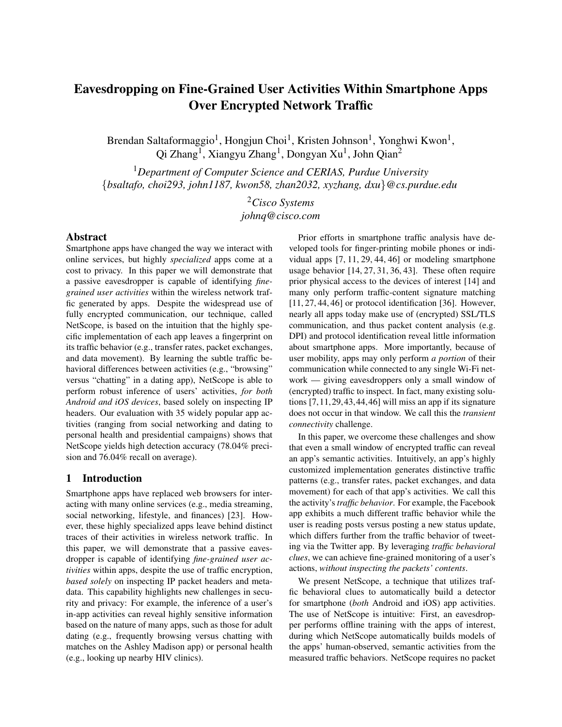# Eavesdropping on Fine-Grained User Activities Within Smartphone Apps Over Encrypted Network Traffic

Brendan Saltaformaggio<sup>1</sup>, Hongjun Choi<sup>1</sup>, Kristen Johnson<sup>1</sup>, Yonghwi Kwon<sup>1</sup>, Qi Zhang<sup>1</sup>, Xiangyu Zhang<sup>1</sup>, Dongyan Xu<sup>1</sup>, John Qian<sup>2</sup>

<sup>1</sup>*Department of Computer Science and CERIAS, Purdue University* {*bsaltafo, choi293, john1187, kwon58, zhan2032, xyzhang, dxu*}*@cs.purdue.edu*

> <sup>2</sup>*Cisco Systems johnq@cisco.com*

### Abstract

Smartphone apps have changed the way we interact with online services, but highly *specialized* apps come at a cost to privacy. In this paper we will demonstrate that a passive eavesdropper is capable of identifying *finegrained user activities* within the wireless network traffic generated by apps. Despite the widespread use of fully encrypted communication, our technique, called NetScope, is based on the intuition that the highly specific implementation of each app leaves a fingerprint on its traffic behavior (e.g., transfer rates, packet exchanges, and data movement). By learning the subtle traffic behavioral differences between activities (e.g., "browsing" versus "chatting" in a dating app), NetScope is able to perform robust inference of users' activities, *for both Android and iOS devices*, based solely on inspecting IP headers. Our evaluation with 35 widely popular app activities (ranging from social networking and dating to personal health and presidential campaigns) shows that NetScope yields high detection accuracy (78.04% precision and 76.04% recall on average).

# 1 Introduction

Smartphone apps have replaced web browsers for interacting with many online services (e.g., media streaming, social networking, lifestyle, and finances) [23]. However, these highly specialized apps leave behind distinct traces of their activities in wireless network traffic. In this paper, we will demonstrate that a passive eavesdropper is capable of identifying *fine-grained user activities* within apps, despite the use of traffic encryption, *based solely* on inspecting IP packet headers and metadata. This capability highlights new challenges in security and privacy: For example, the inference of a user's in-app activities can reveal highly sensitive information based on the nature of many apps, such as those for adult dating (e.g., frequently browsing versus chatting with matches on the Ashley Madison app) or personal health (e.g., looking up nearby HIV clinics).

Prior efforts in smartphone traffic analysis have developed tools for finger-printing mobile phones or individual apps [7, 11, 29, 44, 46] or modeling smartphone usage behavior [14, 27, 31, 36, 43]. These often require prior physical access to the devices of interest [14] and many only perform traffic-content signature matching [11, 27, 44, 46] or protocol identification [36]. However, nearly all apps today make use of (encrypted) SSL/TLS communication, and thus packet content analysis (e.g. DPI) and protocol identification reveal little information about smartphone apps. More importantly, because of user mobility, apps may only perform *a portion* of their communication while connected to any single Wi-Fi network — giving eavesdroppers only a small window of (encrypted) traffic to inspect. In fact, many existing solutions [7,11,29,43,44,46] will miss an app if its signature does not occur in that window. We call this the *transient connectivity* challenge.

In this paper, we overcome these challenges and show that even a small window of encrypted traffic can reveal an app's semantic activities. Intuitively, an app's highly customized implementation generates distinctive traffic patterns (e.g., transfer rates, packet exchanges, and data movement) for each of that app's activities. We call this the activity's*traffic behavior*. For example, the Facebook app exhibits a much different traffic behavior while the user is reading posts versus posting a new status update, which differs further from the traffic behavior of tweeting via the Twitter app. By leveraging *traffic behavioral clues*, we can achieve fine-grained monitoring of a user's actions, *without inspecting the packets' contents*.

We present NetScope, a technique that utilizes traffic behavioral clues to automatically build a detector for smartphone (*both* Android and iOS) app activities. The use of NetScope is intuitive: First, an eavesdropper performs offline training with the apps of interest, during which NetScope automatically builds models of the apps' human-observed, semantic activities from the measured traffic behaviors. NetScope requires no packet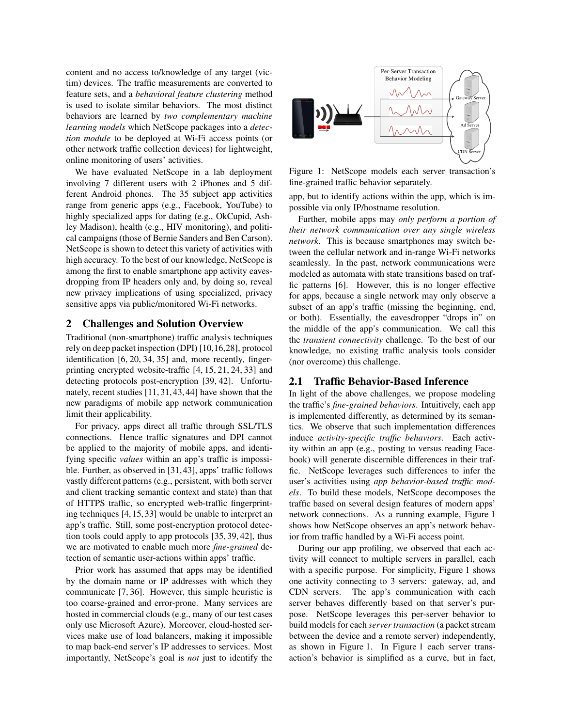content and no access to/knowledge of any target (victim) devices. The traffic measurements are converted to feature sets, and a *behavioral feature clustering* method is used to isolate similar behaviors. The most distinct behaviors are learned by *two complementary machine learning models* which NetScope packages into a *detection module* to be deployed at Wi-Fi access points (or other network traffic collection devices) for lightweight, online monitoring of users' activities.

We have evaluated NetScope in a lab deployment involving 7 different users with 2 iPhones and 5 different Android phones. The 35 subject app activities range from generic apps (e.g., Facebook, YouTube) to highly specialized apps for dating (e.g., OkCupid, Ashley Madison), health (e.g., HIV monitoring), and political campaigns (those of Bernie Sanders and Ben Carson). NetScope is shown to detect this variety of activities with high accuracy. To the best of our knowledge, NetScope is among the first to enable smartphone app activity eavesdropping from IP headers only and, by doing so, reveal new privacy implications of using specialized, privacy sensitive apps via public/monitored Wi-Fi networks.

#### 2 Challenges and Solution Overview

Traditional (non-smartphone) traffic analysis techniques rely on deep packet inspection (DPI) [10,16,28], protocol identification [6, 20, 34, 35] and, more recently, fingerprinting encrypted website-traffic [4, 15, 21, 24, 33] and detecting protocols post-encryption [39, 42]. Unfortunately, recent studies [11, 31, 43, 44] have shown that the new paradigms of mobile app network communication limit their applicability.

For privacy, apps direct all traffic through SSL/TLS connections. Hence traffic signatures and DPI cannot be applied to the majority of mobile apps, and identifying specific *values* within an app's traffic is impossible. Further, as observed in [31, 43], apps' traffic follows vastly different patterns (e.g., persistent, with both server and client tracking semantic context and state) than that of HTTPS traffic, so encrypted web-traffic fingerprinting techniques [4, 15, 33] would be unable to interpret an app's traffic. Still, some post-encryption protocol detection tools could apply to app protocols [35, 39, 42], thus we are motivated to enable much more *fine-grained* detection of semantic user-actions within apps' traffic.

Prior work has assumed that apps may be identified by the domain name or IP addresses with which they communicate [7, 36]. However, this simple heuristic is too coarse-grained and error-prone. Many services are hosted in commercial clouds (e.g., many of our test cases only use Microsoft Azure). Moreover, cloud-hosted services make use of load balancers, making it impossible to map back-end server's IP addresses to services. Most importantly, NetScope's goal is *not* just to identify the



Figure 1: NetScope models each server transaction's fine-grained traffic behavior separately.

app, but to identify actions within the app, which is impossible via only IP/hostname resolution.

Further, mobile apps may *only perform a portion of their network communication over any single wireless network*. This is because smartphones may switch between the cellular network and in-range Wi-Fi networks seamlessly. In the past, network communications were modeled as automata with state transitions based on traffic patterns [6]. However, this is no longer effective for apps, because a single network may only observe a subset of an app's traffic (missing the beginning, end, or both). Essentially, the eavesdropper "drops in" on the middle of the app's communication. We call this the *transient connectivity* challenge. To the best of our knowledge, no existing traffic analysis tools consider (nor overcome) this challenge.

#### 2.1 Traffic Behavior-Based Inference

In light of the above challenges, we propose modeling the traffic's *fine-grained behaviors*. Intuitively, each app is implemented differently, as determined by its semantics. We observe that such implementation differences induce *activity-specific traffic behaviors*. Each activity within an app (e.g., posting to versus reading Facebook) will generate discernible differences in their traffic. NetScope leverages such differences to infer the user's activities using *app behavior-based traffic models*. To build these models, NetScope decomposes the traffic based on several design features of modern apps' network connections. As a running example, Figure 1 shows how NetScope observes an app's network behavior from traffic handled by a Wi-Fi access point.

During our app profiling, we observed that each activity will connect to multiple servers in parallel, each with a specific purpose. For simplicity, Figure 1 shows one activity connecting to 3 servers: gateway, ad, and CDN servers. The app's communication with each server behaves differently based on that server's purpose. NetScope leverages this per-server behavior to build models for each *server transaction* (a packet stream between the device and a remote server) independently, as shown in Figure 1. In Figure 1 each server transaction's behavior is simplified as a curve, but in fact,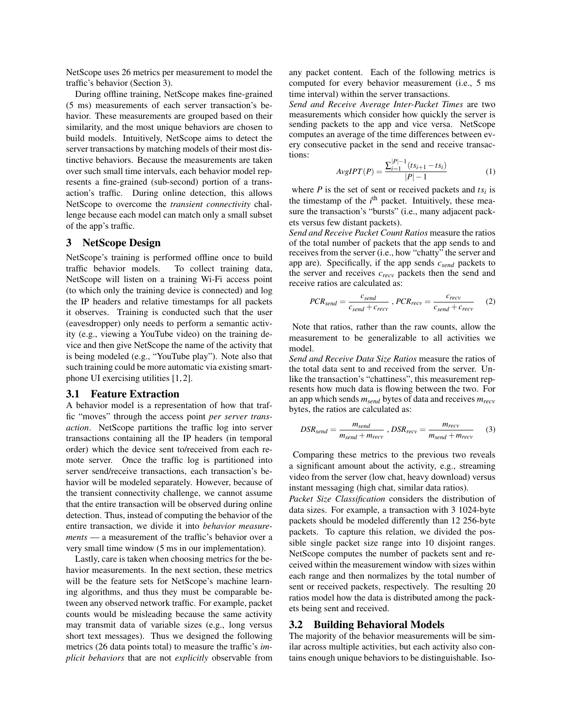NetScope uses 26 metrics per measurement to model the traffic's behavior (Section 3).

During offline training, NetScope makes fine-grained (5 ms) measurements of each server transaction's behavior. These measurements are grouped based on their similarity, and the most unique behaviors are chosen to build models. Intuitively, NetScope aims to detect the server transactions by matching models of their most distinctive behaviors. Because the measurements are taken over such small time intervals, each behavior model represents a fine-grained (sub-second) portion of a transaction's traffic. During online detection, this allows NetScope to overcome the *transient connectivity* challenge because each model can match only a small subset of the app's traffic.

### 3 NetScope Design

NetScope's training is performed offline once to build traffic behavior models. To collect training data, NetScope will listen on a training Wi-Fi access point (to which only the training device is connected) and log the IP headers and relative timestamps for all packets it observes. Training is conducted such that the user (eavesdropper) only needs to perform a semantic activity (e.g., viewing a YouTube video) on the training device and then give NetScope the name of the activity that is being modeled (e.g., "YouTube play"). Note also that such training could be more automatic via existing smartphone UI exercising utilities [1, 2].

#### 3.1 Feature Extraction

A behavior model is a representation of how that traffic "moves" through the access point *per server transaction*. NetScope partitions the traffic log into server transactions containing all the IP headers (in temporal order) which the device sent to/received from each remote server. Once the traffic log is partitioned into server send/receive transactions, each transaction's behavior will be modeled separately. However, because of the transient connectivity challenge, we cannot assume that the entire transaction will be observed during online detection. Thus, instead of computing the behavior of the entire transaction, we divide it into *behavior measurements* — a measurement of the traffic's behavior over a very small time window (5 ms in our implementation).

Lastly, care is taken when choosing metrics for the behavior measurements. In the next section, these metrics will be the feature sets for NetScope's machine learning algorithms, and thus they must be comparable between any observed network traffic. For example, packet counts would be misleading because the same activity may transmit data of variable sizes (e.g., long versus short text messages). Thus we designed the following metrics (26 data points total) to measure the traffic's *implicit behaviors* that are not *explicitly* observable from any packet content. Each of the following metrics is computed for every behavior measurement (i.e., 5 ms time interval) within the server transactions.

*Send and Receive Average Inter-Packet Times* are two measurements which consider how quickly the server is sending packets to the app and vice versa. NetScope computes an average of the time differences between every consecutive packet in the send and receive transactions: |*P*|−1

$$
AvgIPT(P) = \frac{\sum_{i=1}^{|P|-1} (ts_{i+1} - ts_i)}{|P|-1}
$$
 (1)

where  $P$  is the set of sent or received packets and  $ts_i$  is the timestamp of the  $i<sup>th</sup>$  packet. Intuitively, these measure the transaction's "bursts" (i.e., many adjacent packets versus few distant packets).

*Send and Receive Packet Count Ratios* measure the ratios of the total number of packets that the app sends to and receives from the server (i.e., how "chatty" the server and app are). Specifically, if the app sends *csend* packets to the server and receives *crecv* packets then the send and receive ratios are calculated as:

$$
PCR_{send} = \frac{c_{send}}{c_{send} + c_{recv}}, PCR_{recv} = \frac{c_{recv}}{c_{send} + c_{recv}} \tag{2}
$$

Note that ratios, rather than the raw counts, allow the measurement to be generalizable to all activities we model.

*Send and Receive Data Size Ratios* measure the ratios of the total data sent to and received from the server. Unlike the transaction's "chattiness", this measurement represents how much data is flowing between the two. For an app which sends *msend* bytes of data and receives *mrecv* bytes, the ratios are calculated as:

$$
DSR_{send} = \frac{m_{send}}{m_{send} + m_{recv}}, \, DSR_{recv} = \frac{m_{recv}}{m_{send} + m_{recv}} \tag{3}
$$

Comparing these metrics to the previous two reveals a significant amount about the activity, e.g., streaming video from the server (low chat, heavy download) versus instant messaging (high chat, similar data ratios).

*Packet Size Classification* considers the distribution of data sizes. For example, a transaction with 3 1024-byte packets should be modeled differently than 12 256-byte packets. To capture this relation, we divided the possible single packet size range into 10 disjoint ranges. NetScope computes the number of packets sent and received within the measurement window with sizes within each range and then normalizes by the total number of sent or received packets, respectively. The resulting 20 ratios model how the data is distributed among the packets being sent and received.

#### 3.2 Building Behavioral Models

The majority of the behavior measurements will be similar across multiple activities, but each activity also contains enough unique behaviors to be distinguishable. Iso-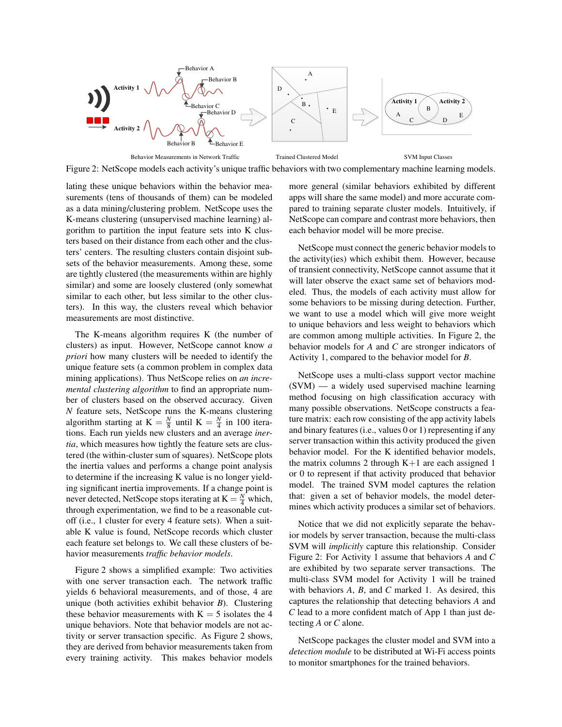

Figure 2: NetScope models each activity's unique traffic behaviors with two complementary machine learning models.

lating these unique behaviors within the behavior measurements (tens of thousands of them) can be modeled as a data mining/clustering problem. NetScope uses the K-means clustering (unsupervised machine learning) algorithm to partition the input feature sets into K clusters based on their distance from each other and the clusters' centers. The resulting clusters contain disjoint subsets of the behavior measurements. Among these, some are tightly clustered (the measurements within are highly similar) and some are loosely clustered (only somewhat similar to each other, but less similar to the other clusters). In this way, the clusters reveal which behavior measurements are most distinctive.

The K-means algorithm requires K (the number of clusters) as input. However, NetScope cannot know *a priori* how many clusters will be needed to identify the unique feature sets (a common problem in complex data mining applications). Thus NetScope relies on *an incremental clustering algorithm* to find an appropriate number of clusters based on the observed accuracy. Given *N* feature sets, NetScope runs the K-means clustering algorithm starting at  $K = \frac{N}{8}$  until  $K = \frac{N}{4}$  in 100 iterations. Each run yields new clusters and an average *inertia*, which measures how tightly the feature sets are clustered (the within-cluster sum of squares). NetScope plots the inertia values and performs a change point analysis to determine if the increasing K value is no longer yielding significant inertia improvements. If a change point is never detected, NetScope stops iterating at  $K = \frac{N}{4}$  which, through experimentation, we find to be a reasonable cutoff (i.e., 1 cluster for every 4 feature sets). When a suitable K value is found, NetScope records which cluster each feature set belongs to. We call these clusters of behavior measurements *traffic behavior models*.

Figure 2 shows a simplified example: Two activities with one server transaction each. The network traffic yields 6 behavioral measurements, and of those, 4 are unique (both activities exhibit behavior *B*). Clustering these behavior measurements with  $K = 5$  isolates the 4 unique behaviors. Note that behavior models are not activity or server transaction specific. As Figure 2 shows, they are derived from behavior measurements taken from every training activity. This makes behavior models more general (similar behaviors exhibited by different apps will share the same model) and more accurate compared to training separate cluster models. Intuitively, if NetScope can compare and contrast more behaviors, then each behavior model will be more precise.

NetScope must connect the generic behavior models to the activity(ies) which exhibit them. However, because of transient connectivity, NetScope cannot assume that it will later observe the exact same set of behaviors modeled. Thus, the models of each activity must allow for some behaviors to be missing during detection. Further, we want to use a model which will give more weight to unique behaviors and less weight to behaviors which are common among multiple activities. In Figure 2, the behavior models for *A* and *C* are stronger indicators of Activity 1, compared to the behavior model for *B*.

NetScope uses a multi-class support vector machine (SVM) — a widely used supervised machine learning method focusing on high classification accuracy with many possible observations. NetScope constructs a feature matrix: each row consisting of the app activity labels and binary features (i.e., values 0 or 1) representing if any server transaction within this activity produced the given behavior model. For the K identified behavior models, the matrix columns 2 through  $K+1$  are each assigned 1 or 0 to represent if that activity produced that behavior model. The trained SVM model captures the relation that: given a set of behavior models, the model determines which activity produces a similar set of behaviors.

Notice that we did not explicitly separate the behavior models by server transaction, because the multi-class SVM will *implicitly* capture this relationship. Consider Figure 2: For Activity 1 assume that behaviors *A* and *C* are exhibited by two separate server transactions. The multi-class SVM model for Activity 1 will be trained with behaviors *A*, *B*, and *C* marked 1. As desired, this captures the relationship that detecting behaviors *A* and *C* lead to a more confident match of App 1 than just detecting *A* or *C* alone.

NetScope packages the cluster model and SVM into a *detection module* to be distributed at Wi-Fi access points to monitor smartphones for the trained behaviors.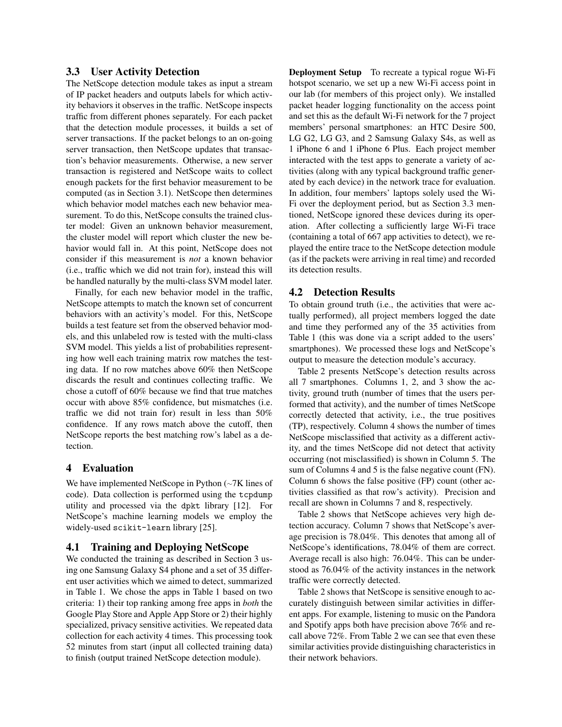### 3.3 User Activity Detection

The NetScope detection module takes as input a stream of IP packet headers and outputs labels for which activity behaviors it observes in the traffic. NetScope inspects traffic from different phones separately. For each packet that the detection module processes, it builds a set of server transactions. If the packet belongs to an on-going server transaction, then NetScope updates that transaction's behavior measurements. Otherwise, a new server transaction is registered and NetScope waits to collect enough packets for the first behavior measurement to be computed (as in Section 3.1). NetScope then determines which behavior model matches each new behavior measurement. To do this, NetScope consults the trained cluster model: Given an unknown behavior measurement, the cluster model will report which cluster the new behavior would fall in. At this point, NetScope does not consider if this measurement is *not* a known behavior (i.e., traffic which we did not train for), instead this will be handled naturally by the multi-class SVM model later.

Finally, for each new behavior model in the traffic, NetScope attempts to match the known set of concurrent behaviors with an activity's model. For this, NetScope builds a test feature set from the observed behavior models, and this unlabeled row is tested with the multi-class SVM model. This yields a list of probabilities representing how well each training matrix row matches the testing data. If no row matches above 60% then NetScope discards the result and continues collecting traffic. We chose a cutoff of 60% because we find that true matches occur with above 85% confidence, but mismatches (i.e. traffic we did not train for) result in less than 50% confidence. If any rows match above the cutoff, then NetScope reports the best matching row's label as a detection.

### 4 Evaluation

We have implemented NetScope in Python (∼7K lines of code). Data collection is performed using the tcpdump utility and processed via the dpkt library [12]. For NetScope's machine learning models we employ the widely-used scikit-learn library [25].

# 4.1 Training and Deploying NetScope

We conducted the training as described in Section 3 using one Samsung Galaxy S4 phone and a set of 35 different user activities which we aimed to detect, summarized in Table 1. We chose the apps in Table 1 based on two criteria: 1) their top ranking among free apps in *both* the Google Play Store and Apple App Store or 2) their highly specialized, privacy sensitive activities. We repeated data collection for each activity 4 times. This processing took 52 minutes from start (input all collected training data) to finish (output trained NetScope detection module).

Deployment Setup To recreate a typical rogue Wi-Fi hotspot scenario, we set up a new Wi-Fi access point in our lab (for members of this project only). We installed packet header logging functionality on the access point and set this as the default Wi-Fi network for the 7 project members' personal smartphones: an HTC Desire 500, LG G2, LG G3, and 2 Samsung Galaxy S4s, as well as 1 iPhone 6 and 1 iPhone 6 Plus. Each project member interacted with the test apps to generate a variety of activities (along with any typical background traffic generated by each device) in the network trace for evaluation. In addition, four members' laptops solely used the Wi-Fi over the deployment period, but as Section 3.3 mentioned, NetScope ignored these devices during its operation. After collecting a sufficiently large Wi-Fi trace (containing a total of 667 app activities to detect), we replayed the entire trace to the NetScope detection module (as if the packets were arriving in real time) and recorded its detection results.

### 4.2 Detection Results

To obtain ground truth (i.e., the activities that were actually performed), all project members logged the date and time they performed any of the 35 activities from Table 1 (this was done via a script added to the users' smartphones). We processed these logs and NetScope's output to measure the detection module's accuracy.

Table 2 presents NetScope's detection results across all 7 smartphones. Columns 1, 2, and 3 show the activity, ground truth (number of times that the users performed that activity), and the number of times NetScope correctly detected that activity, i.e., the true positives (TP), respectively. Column 4 shows the number of times NetScope misclassified that activity as a different activity, and the times NetScope did not detect that activity occurring (not misclassified) is shown in Column 5. The sum of Columns 4 and 5 is the false negative count (FN). Column 6 shows the false positive (FP) count (other activities classified as that row's activity). Precision and recall are shown in Columns 7 and 8, respectively.

Table 2 shows that NetScope achieves very high detection accuracy. Column 7 shows that NetScope's average precision is 78.04%. This denotes that among all of NetScope's identifications, 78.04% of them are correct. Average recall is also high: 76.04%. This can be understood as 76.04% of the activity instances in the network traffic were correctly detected.

Table 2 shows that NetScope is sensitive enough to accurately distinguish between similar activities in different apps. For example, listening to music on the Pandora and Spotify apps both have precision above 76% and recall above 72%. From Table 2 we can see that even these similar activities provide distinguishing characteristics in their network behaviors.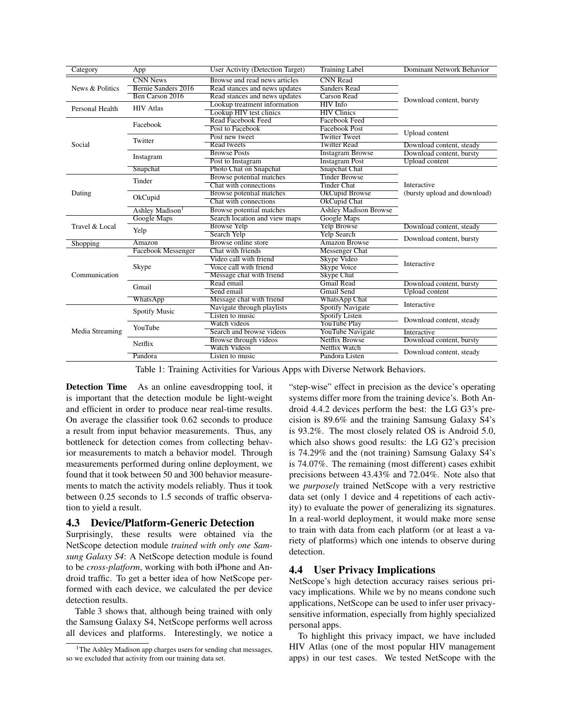| Category                                                          | App                         | User Activity (Detection Target)                 | <b>Training Label</b>        | Dominant Network Behavior    |  |  |
|-------------------------------------------------------------------|-----------------------------|--------------------------------------------------|------------------------------|------------------------------|--|--|
|                                                                   | <b>CNN News</b>             | <b>CNN</b> Read<br>Browse and read news articles |                              |                              |  |  |
| News & Politics                                                   | Bernie Sanders 2016         | Read stances and news updates                    | <b>Sanders Read</b>          |                              |  |  |
| Personal Health<br>Social<br>Dating<br>Travel & Local<br>Shopping | Ben Carson 2016             | Read stances and news updates                    | Carson Read                  | Download content, bursty     |  |  |
|                                                                   | <b>HIV</b> Atlas            | Lookup treatment information                     |                              |                              |  |  |
|                                                                   |                             | Lookup HIV test clinics                          | <b>HIV Clinics</b>           |                              |  |  |
|                                                                   | Facebook                    | Read Facebook Feed<br><b>Facebook Feed</b>       |                              |                              |  |  |
|                                                                   |                             | Post to Facebook                                 | <b>Facebook Post</b>         | Upload content               |  |  |
|                                                                   | Twitter                     | <b>Twitter Tweet</b><br>Post new tweet           |                              |                              |  |  |
| Communication<br>Media Streaming                                  |                             | Read tweets                                      | <b>Twitter Read</b>          | Download content, steady     |  |  |
|                                                                   | Instagram                   | <b>Browse Posts</b>                              | <b>Instagram Browse</b>      | Download content, bursty     |  |  |
|                                                                   |                             | Post to Instagram                                | <b>Instagram Post</b>        | <b>Upload</b> content        |  |  |
|                                                                   | Snapchat                    | Photo Chat on Snapchat                           | <b>Snapchat Chat</b>         |                              |  |  |
|                                                                   | Tinder                      | Browse potential matches                         | <b>Tinder Browse</b>         |                              |  |  |
|                                                                   |                             | Chat with connections                            | <b>Tinder Chat</b>           | <b>Interactive</b>           |  |  |
|                                                                   | OkCupid                     | Browse potential matches                         | OkCupid Browse               | (bursty upload and download) |  |  |
|                                                                   |                             | Chat with connections                            | OkCupid Chat                 |                              |  |  |
|                                                                   | Ashley Madison <sup>1</sup> | Browse potential matches                         | <b>Ashley Madison Browse</b> |                              |  |  |
|                                                                   | Google Maps                 | Search location and view maps                    | Google Maps                  |                              |  |  |
|                                                                   |                             | <b>Browse Yelp</b>                               | <b>Yelp Browse</b>           | Download content, steady     |  |  |
|                                                                   | Yelp                        | Search Yelp                                      | <b>Yelp Search</b>           | Download content, bursty     |  |  |
|                                                                   | Amazon                      | Browse online store                              | <b>Amazon Browse</b>         |                              |  |  |
|                                                                   | Facebook Messenger          | Chat with friends                                | <b>Messenger Chat</b>        | <b>Interactive</b>           |  |  |
|                                                                   | Skype                       | Video call with friend                           | <b>Skype Video</b>           |                              |  |  |
|                                                                   |                             | Voice call with friend                           | Skype Voice                  |                              |  |  |
|                                                                   |                             | Message chat with friend                         | <b>Skype Chat</b>            |                              |  |  |
|                                                                   | Gmail                       | Read email                                       | <b>Gmail Read</b>            | Download content, bursty     |  |  |
|                                                                   |                             | Send email                                       | <b>Gmail Send</b>            | <b>Upload</b> content        |  |  |
|                                                                   | WhatsApp                    | Message chat with friend                         | <b>WhatsApp Chat</b>         | Interactive                  |  |  |
|                                                                   | <b>Spotify Music</b>        | Navigate through playlists                       | <b>Spotify Navigate</b>      |                              |  |  |
|                                                                   |                             | Listen to music                                  | Spotify Listen               | Download content, steady     |  |  |
|                                                                   | YouTube                     | Watch videos                                     | <b>YouTube Play</b>          |                              |  |  |
|                                                                   |                             | Search and browse videos                         | YouTube Navigate             | Interactive                  |  |  |
|                                                                   | Netflix                     | <b>Browse through videos</b>                     | <b>Netflix Browse</b>        | Download content, bursty     |  |  |
|                                                                   |                             | <b>Watch Videos</b>                              | Netflix Watch                | Download content, steady     |  |  |
|                                                                   | Pandora                     | Listen to music                                  | Pandora Listen               |                              |  |  |

Table 1: Training Activities for Various Apps with Diverse Network Behaviors.

Detection Time As an online eavesdropping tool, it is important that the detection module be light-weight and efficient in order to produce near real-time results. On average the classifier took 0.62 seconds to produce a result from input behavior measurements. Thus, any bottleneck for detection comes from collecting behavior measurements to match a behavior model. Through measurements performed during online deployment, we found that it took between 50 and 300 behavior measurements to match the activity models reliably. Thus it took between 0.25 seconds to 1.5 seconds of traffic observation to yield a result.

### 4.3 Device/Platform-Generic Detection

Surprisingly, these results were obtained via the NetScope detection module *trained with only one Samsung Galaxy S4*: A NetScope detection module is found to be *cross-platform*, working with both iPhone and Android traffic. To get a better idea of how NetScope performed with each device, we calculated the per device detection results.

Table 3 shows that, although being trained with only the Samsung Galaxy S4, NetScope performs well across all devices and platforms. Interestingly, we notice a

"step-wise" effect in precision as the device's operating systems differ more from the training device's. Both Android 4.4.2 devices perform the best: the LG G3's precision is 89.6% and the training Samsung Galaxy S4's is 93.2%. The most closely related OS is Android 5.0, which also shows good results: the LG G2's precision is 74.29% and the (not training) Samsung Galaxy S4's is 74.07%. The remaining (most different) cases exhibit precisions between 43.43% and 72.04%. Note also that we *purposely* trained NetScope with a very restrictive data set (only 1 device and 4 repetitions of each activity) to evaluate the power of generalizing its signatures. In a real-world deployment, it would make more sense to train with data from each platform (or at least a variety of platforms) which one intends to observe during detection.

# 4.4 User Privacy Implications

NetScope's high detection accuracy raises serious privacy implications. While we by no means condone such applications, NetScope can be used to infer user privacysensitive information, especially from highly specialized personal apps.

To highlight this privacy impact, we have included HIV Atlas (one of the most popular HIV management apps) in our test cases. We tested NetScope with the

<sup>&</sup>lt;sup>1</sup>The Ashley Madison app charges users for sending chat messages, so we excluded that activity from our training data set.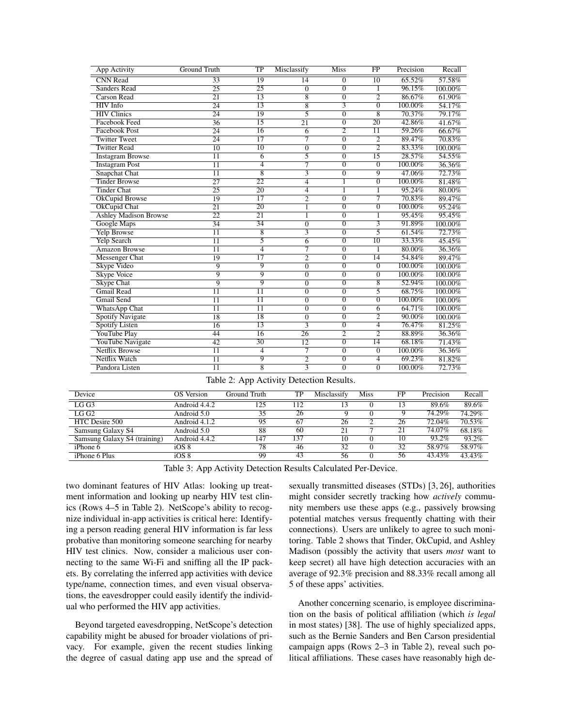| App Activity                 | Ground Truth    | $\overline{\text{TP}}$ | Misclassify     | <b>Miss</b>      | $_{\rm FP}$     | Precision  | Recall  |
|------------------------------|-----------------|------------------------|-----------------|------------------|-----------------|------------|---------|
| <b>CNN</b> Read              | 33              | 19                     | 14              | $\theta$         | 10              | 65.52%     | 57.58%  |
| <b>Sanders Read</b>          | $\overline{25}$ | $\overline{25}$        | $\overline{0}$  | $\overline{0}$   | 1               | 96.15%     | 100.00% |
| <b>Carson Read</b>           | $\overline{21}$ | 13                     | 8               | $\overline{0}$   | $\overline{2}$  | 86.67%     | 61.90%  |
| <b>HIV</b> Info              | $\overline{24}$ | $\overline{13}$        | $\overline{8}$  | $\overline{3}$   | $\overline{0}$  | $100.00\%$ | 54.17%  |
| <b>HIV Clinics</b>           | $\overline{24}$ | 19                     | 5               | $\overline{0}$   | $\overline{8}$  | 70.37%     | 79.17%  |
| <b>Facebook Feed</b>         | $\overline{36}$ | $\overline{15}$        | $\overline{21}$ | $\mathbf{0}$     | $\overline{20}$ | 42.86%     | 41.67%  |
| <b>Facebook Post</b>         | 24              | $\overline{16}$        | 6               | $\overline{2}$   | $\overline{11}$ | 59.26%     | 66.67%  |
| <b>Twitter Tweet</b>         | 24              | $\overline{17}$        | 7               | $\overline{0}$   | $\overline{2}$  | 89.47%     | 70.83%  |
| <b>Twitter Read</b>          | $\overline{10}$ | $\overline{10}$        | $\overline{0}$  | $\overline{0}$   | $\overline{2}$  | 83.33%     | 100.00% |
| <b>Instagram Browse</b>      | 11              | 6                      | 5               | $\overline{0}$   | 15              | 28.57%     | 54.55%  |
| <b>Instagram Post</b>        | $\overline{11}$ | $\overline{4}$         | $\overline{7}$  | $\overline{0}$   | $\overline{0}$  | 100.00%    | 36.36%  |
| Snapchat Chat                | 11              | 8                      | $\overline{3}$  | $\overline{0}$   | $\overline{9}$  | 47.06%     | 72.73%  |
| <b>Tinder Browse</b>         | $\overline{27}$ | $\overline{22}$        | $\overline{4}$  | 1                | $\overline{0}$  | 100.00%    | 81.48%  |
| <b>Tinder Chat</b>           | $\overline{25}$ | 20                     | $\overline{4}$  | 1                |                 | 95.24%     | 80.00%  |
| <b>OkCupid Browse</b>        | 19              | $\overline{17}$        | $\overline{2}$  | $\overline{0}$   | 7               | 70.83%     | 89.47%  |
| <b>OkCupid Chat</b>          | $\overline{21}$ | 20                     |                 | $\overline{0}$   | $\overline{0}$  | 100.00%    | 95.24%  |
| <b>Ashley Madison Browse</b> | $\overline{22}$ | $\overline{21}$        | 1               | $\overline{0}$   | 1               | 95.45%     | 95.45%  |
| Google Maps                  | $\overline{34}$ | 34                     | $\overline{0}$  | $\overline{0}$   | $\overline{3}$  | 91.89%     | 100.00% |
| <b>Yelp Browse</b>           | $\overline{11}$ | 8                      | 3               | $\boldsymbol{0}$ | 5               | 61.54%     | 72.73%  |
| <b>Yelp Search</b>           | $\overline{11}$ | 5                      | 6               | $\overline{0}$   | $\overline{10}$ | 33.33%     | 45.45%  |
| <b>Amazon Browse</b>         | 11              | 4                      | 7               | $\overline{0}$   |                 | 80.00%     | 36.36%  |
| <b>Messenger Chat</b>        | 19              | $\overline{17}$        | $\overline{2}$  | $\overline{0}$   | $\overline{14}$ | 54.84%     | 89.47%  |
| Skype Video                  | 9               | 9                      | $\overline{0}$  | $\overline{0}$   | $\overline{0}$  | 100.00%    | 100.00% |
| <b>Skype Voice</b>           | 9               | $\overline{9}$         | $\overline{0}$  | $\overline{0}$   | $\overline{0}$  | 100.00%    | 100.00% |
| <b>Skype Chat</b>            | $\overline{9}$  | 9                      | $\overline{0}$  | $\overline{0}$   | 8               | 52.94%     | 100.00% |
| <b>Gmail Read</b>            | $\overline{11}$ | $\overline{11}$        | $\overline{0}$  | $\overline{0}$   | 5               | 68.75%     | 100.00% |
| <b>Gmail Send</b>            | 11              | $\overline{11}$        | $\overline{0}$  | $\overline{0}$   | $\overline{0}$  | 100.00%    | 100.00% |
| <b>WhatsApp Chat</b>         | $\overline{11}$ | $\overline{11}$        | $\mathbf{0}$    | $\overline{0}$   | 6               | 64.71%     | 100.00% |
| <b>Spotify Navigate</b>      | 18              | 18                     | $\overline{0}$  | $\overline{0}$   | $\overline{2}$  | 90.00%     | 100.00% |
| <b>Spotify Listen</b>        | 16              | $\overline{13}$        | $\overline{3}$  | $\overline{0}$   | 4               | 76.47%     | 81.25%  |
| <b>YouTube Play</b>          | 44              | 16                     | $\overline{26}$ | $\overline{2}$   | $\overline{2}$  | 88.89%     | 36.36%  |
| YouTube Navigate             | 42              | 30                     | 12              | $\mathbf{0}$     | 14              | 68.18%     | 71.43%  |
| <b>Netflix Browse</b>        | $\overline{11}$ | $\overline{4}$         | 7               | $\overline{0}$   | $\overline{0}$  | 100.00%    | 36.36%  |
| Netflix Watch                | 11              | 9                      | $\overline{2}$  | $\overline{0}$   | 4               | 69.23%     | 81.82%  |
| Pandora Listen               | $\overline{11}$ | $\overline{8}$         | $\overline{3}$  | $\overline{0}$   | $\overline{0}$  | 100.00%    | 72.73%  |

|  | Table 2: App Activity Detection Results. |  |  |
|--|------------------------------------------|--|--|
|--|------------------------------------------|--|--|

| Device                       | OS Version    | Ground Truth | TP  | Misclassify | Miss | FP | Precision | Recall    |
|------------------------------|---------------|--------------|-----|-------------|------|----|-----------|-----------|
| LG <sub>G3</sub>             | Android 4.4.2 | 125          | 112 |             |      |    | 89.6%     | 89.6%     |
| LGG2                         | Android 5.0   | 35           | 26  |             |      |    | 74.29%    | $74.29\%$ |
| HTC Desire 500               | Android 4.1.2 | 95           | 67  | 26          |      | 26 | 72.04%    | 70.53%    |
| Samsung Galaxy S4            | Android 5.0   | 88           | 60  | 21          |      | 21 | 74.07%    | 68.18%    |
| Samsung Galaxy S4 (training) | Android 4.4.2 | 147          | 137 | 10          |      | 10 | 93.2%     | 93.2%     |
| iPhone 6                     | iOS 8         | 78           | 46  | 32          |      | 32 | 58.97%    | 58.97%    |
| iPhone 6 Plus                | iOS 8         | 99           | 43  | 56          |      | 56 | 43.43%    | 43.43%    |

Table 3: App Activity Detection Results Calculated Per-Device.

two dominant features of HIV Atlas: looking up treatment information and looking up nearby HIV test clinics (Rows 4–5 in Table 2). NetScope's ability to recognize individual in-app activities is critical here: Identifying a person reading general HIV information is far less probative than monitoring someone searching for nearby HIV test clinics. Now, consider a malicious user connecting to the same Wi-Fi and sniffing all the IP packets. By correlating the inferred app activities with device type/name, connection times, and even visual observations, the eavesdropper could easily identify the individual who performed the HIV app activities.

Beyond targeted eavesdropping, NetScope's detection capability might be abused for broader violations of privacy. For example, given the recent studies linking the degree of casual dating app use and the spread of sexually transmitted diseases (STDs) [3, 26], authorities might consider secretly tracking how *actively* community members use these apps (e.g., passively browsing potential matches versus frequently chatting with their connections). Users are unlikely to agree to such monitoring. Table 2 shows that Tinder, OkCupid, and Ashley Madison (possibly the activity that users *most* want to keep secret) all have high detection accuracies with an average of 92.3% precision and 88.33% recall among all 5 of these apps' activities.

Another concerning scenario, is employee discrimination on the basis of political affiliation (which *is legal* in most states) [38]. The use of highly specialized apps, such as the Bernie Sanders and Ben Carson presidential campaign apps (Rows 2–3 in Table 2), reveal such political affiliations. These cases have reasonably high de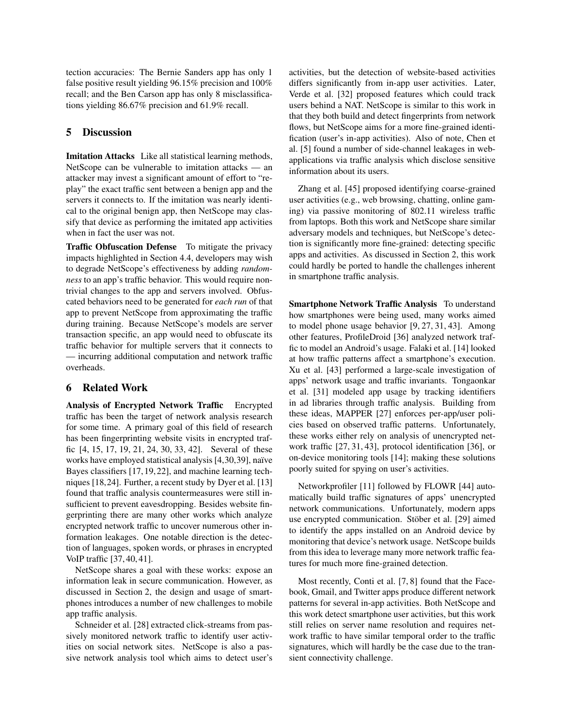tection accuracies: The Bernie Sanders app has only 1 false positive result yielding 96.15% precision and 100% recall; and the Ben Carson app has only 8 misclassifications yielding 86.67% precision and 61.9% recall.

# 5 Discussion

Imitation Attacks Like all statistical learning methods, NetScope can be vulnerable to imitation attacks — an attacker may invest a significant amount of effort to "replay" the exact traffic sent between a benign app and the servers it connects to. If the imitation was nearly identical to the original benign app, then NetScope may classify that device as performing the imitated app activities when in fact the user was not.

Traffic Obfuscation Defense To mitigate the privacy impacts highlighted in Section 4.4, developers may wish to degrade NetScope's effectiveness by adding *randomness* to an app's traffic behavior. This would require nontrivial changes to the app and servers involved. Obfuscated behaviors need to be generated for *each run* of that app to prevent NetScope from approximating the traffic during training. Because NetScope's models are server transaction specific, an app would need to obfuscate its traffic behavior for multiple servers that it connects to — incurring additional computation and network traffic overheads.

# 6 Related Work

Analysis of Encrypted Network Traffic Encrypted traffic has been the target of network analysis research for some time. A primary goal of this field of research has been fingerprinting website visits in encrypted traffic [4, 15, 17, 19, 21, 24, 30, 33, 42]. Several of these works have employed statistical analysis [4,30,39], naïve Bayes classifiers [17, 19, 22], and machine learning techniques [18,24]. Further, a recent study by Dyer et al. [13] found that traffic analysis countermeasures were still insufficient to prevent eavesdropping. Besides website fingerprinting there are many other works which analyze encrypted network traffic to uncover numerous other information leakages. One notable direction is the detection of languages, spoken words, or phrases in encrypted VoIP traffic [37, 40, 41].

NetScope shares a goal with these works: expose an information leak in secure communication. However, as discussed in Section 2, the design and usage of smartphones introduces a number of new challenges to mobile app traffic analysis.

Schneider et al. [28] extracted click-streams from passively monitored network traffic to identify user activities on social network sites. NetScope is also a passive network analysis tool which aims to detect user's activities, but the detection of website-based activities differs significantly from in-app user activities. Later, Verde et al. [32] proposed features which could track users behind a NAT. NetScope is similar to this work in that they both build and detect fingerprints from network flows, but NetScope aims for a more fine-grained identification (user's in-app activities). Also of note, Chen et al. [5] found a number of side-channel leakages in webapplications via traffic analysis which disclose sensitive information about its users.

Zhang et al. [45] proposed identifying coarse-grained user activities (e.g., web browsing, chatting, online gaming) via passive monitoring of 802.11 wireless traffic from laptops. Both this work and NetScope share similar adversary models and techniques, but NetScope's detection is significantly more fine-grained: detecting specific apps and activities. As discussed in Section 2, this work could hardly be ported to handle the challenges inherent in smartphone traffic analysis.

Smartphone Network Traffic Analysis To understand how smartphones were being used, many works aimed to model phone usage behavior [9, 27, 31, 43]. Among other features, ProfileDroid [36] analyzed network traffic to model an Android's usage. Falaki et al. [14] looked at how traffic patterns affect a smartphone's execution. Xu et al. [43] performed a large-scale investigation of apps' network usage and traffic invariants. Tongaonkar et al. [31] modeled app usage by tracking identifiers in ad libraries through traffic analysis. Building from these ideas, MAPPER [27] enforces per-app/user policies based on observed traffic patterns. Unfortunately, these works either rely on analysis of unencrypted network traffic [27, 31, 43], protocol identification [36], or on-device monitoring tools [14]; making these solutions poorly suited for spying on user's activities.

Networkprofiler [11] followed by FLOWR [44] automatically build traffic signatures of apps' unencrypted network communications. Unfortunately, modern apps use encrypted communication. Stöber et al. [29] aimed to identify the apps installed on an Android device by monitoring that device's network usage. NetScope builds from this idea to leverage many more network traffic features for much more fine-grained detection.

Most recently, Conti et al. [7, 8] found that the Facebook, Gmail, and Twitter apps produce different network patterns for several in-app activities. Both NetScope and this work detect smartphone user activities, but this work still relies on server name resolution and requires network traffic to have similar temporal order to the traffic signatures, which will hardly be the case due to the transient connectivity challenge.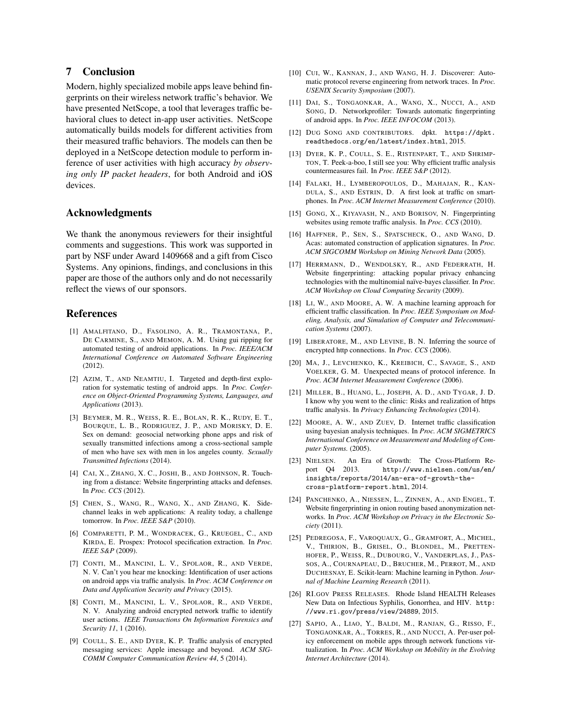# 7 Conclusion

Modern, highly specialized mobile apps leave behind fingerprints on their wireless network traffic's behavior. We have presented NetScope, a tool that leverages traffic behavioral clues to detect in-app user activities. NetScope automatically builds models for different activities from their measured traffic behaviors. The models can then be deployed in a NetScope detection module to perform inference of user activities with high accuracy *by observing only IP packet headers*, for both Android and iOS devices.

### Acknowledgments

We thank the anonymous reviewers for their insightful comments and suggestions. This work was supported in part by NSF under Award 1409668 and a gift from Cisco Systems. Any opinions, findings, and conclusions in this paper are those of the authors only and do not necessarily reflect the views of our sponsors.

#### References

- [1] AMALFITANO, D., FASOLINO, A. R., TRAMONTANA, P., DE CARMINE, S., AND MEMON, A. M. Using gui ripping for automated testing of android applications. In *Proc. IEEE/ACM International Conference on Automated Software Engineering* (2012).
- [2] AZIM, T., AND NEAMTIU, I. Targeted and depth-first exploration for systematic testing of android apps. In *Proc. Conference on Object-Oriented Programming Systems, Languages, and Applications* (2013).
- [3] BEYMER, M. R., WEISS, R. E., BOLAN, R. K., RUDY, E. T., BOURQUE, L. B., RODRIGUEZ, J. P., AND MORISKY, D. E. Sex on demand: geosocial networking phone apps and risk of sexually transmitted infections among a cross-sectional sample of men who have sex with men in los angeles county. *Sexually Transmitted Infections* (2014).
- [4] CAI, X., ZHANG, X. C., JOSHI, B., AND JOHNSON, R. Touching from a distance: Website fingerprinting attacks and defenses. In *Proc. CCS* (2012).
- [5] CHEN, S., WANG, R., WANG, X., AND ZHANG, K. Sidechannel leaks in web applications: A reality today, a challenge tomorrow. In *Proc. IEEE S&P* (2010).
- [6] COMPARETTI, P. M., WONDRACEK, G., KRUEGEL, C., AND KIRDA, E. Prospex: Protocol specification extraction. In *Proc. IEEE S&P* (2009).
- [7] CONTI, M., MANCINI, L. V., SPOLAOR, R., AND VERDE, N. V. Can't you hear me knocking: Identification of user actions on android apps via traffic analysis. In *Proc. ACM Conference on Data and Application Security and Privacy* (2015).
- [8] CONTI, M., MANCINI, L. V., SPOLAOR, R., AND VERDE, N. V. Analyzing android encrypted network traffic to identify user actions. *IEEE Transactions On Information Forensics and Security 11*, 1 (2016).
- [9] COULL, S. E., AND DYER, K. P. Traffic analysis of encrypted messaging services: Apple imessage and beyond. *ACM SIG-COMM Computer Communication Review 44*, 5 (2014).
- [10] CUI, W., KANNAN, J., AND WANG, H. J. Discoverer: Automatic protocol reverse engineering from network traces. In *Proc. USENIX Security Symposium* (2007).
- [11] DAI, S., TONGAONKAR, A., WANG, X., NUCCI, A., AND SONG, D. Networkprofiler: Towards automatic fingerprinting of android apps. In *Proc. IEEE INFOCOM* (2013).
- [12] DUG SONG AND CONTRIBUTORS. dpkt. https://dpkt. readthedocs.org/en/latest/index.html, 2015.
- [13] DYER, K. P., COULL, S. E., RISTENPART, T., AND SHRIMP-TON, T. Peek-a-boo, I still see you: Why efficient traffic analysis countermeasures fail. In *Proc. IEEE S&P* (2012).
- [14] FALAKI, H., LYMBEROPOULOS, D., MAHAJAN, R., KAN-DULA, S., AND ESTRIN, D. A first look at traffic on smartphones. In *Proc. ACM Internet Measurement Conference* (2010).
- [15] GONG, X., KIYAVASH, N., AND BORISOV, N. Fingerprinting websites using remote traffic analysis. In *Proc. CCS* (2010).
- [16] HAFFNER, P., SEN, S., SPATSCHECK, O., AND WANG, D. Acas: automated construction of application signatures. In *Proc. ACM SIGCOMM Workshop on Mining Network Data* (2005).
- [17] HERRMANN, D., WENDOLSKY, R., AND FEDERRATH, H. Website fingerprinting: attacking popular privacy enhancing technologies with the multinomial naïve-bayes classifier. In *Proc. ACM Workshop on Cloud Computing Security* (2009).
- [18] LI, W., AND MOORE, A. W. A machine learning approach for efficient traffic classification. In *Proc. IEEE Symposium on Modeling, Analysis, and Simulation of Computer and Telecommunication Systems* (2007).
- [19] LIBERATORE, M., AND LEVINE, B. N. Inferring the source of encrypted http connections. In *Proc. CCS* (2006).
- [20] MA, J., LEVCHENKO, K., KREIBICH, C., SAVAGE, S., AND VOELKER, G. M. Unexpected means of protocol inference. In *Proc. ACM Internet Measurement Conference* (2006).
- [21] MILLER, B., HUANG, L., JOSEPH, A. D., AND TYGAR, J. D. I know why you went to the clinic: Risks and realization of https traffic analysis. In *Privacy Enhancing Technologies* (2014).
- [22] MOORE, A. W., AND ZUEV, D. Internet traffic classification using bayesian analysis techniques. In *Proc. ACM SIGMETRICS International Conference on Measurement and Modeling of Computer Systems.* (2005).
- [23] NIELSEN. An Era of Growth: The Cross-Platform Report Q4 2013. http://www.nielsen.com/us/en/ insights/reports/2014/an-era-of-growth-thecross-platform-report.html, 2014.
- [24] PANCHENKO, A., NIESSEN, L., ZINNEN, A., AND ENGEL, T. Website fingerprinting in onion routing based anonymization networks. In *Proc. ACM Workshop on Privacy in the Electronic Society* (2011).
- [25] PEDREGOSA, F., VAROQUAUX, G., GRAMFORT, A., MICHEL, V., THIRION, B., GRISEL, O., BLONDEL, M., PRETTEN-HOFER, P., WEISS, R., DUBOURG, V., VANDERPLAS, J., PAS-SOS, A., COURNAPEAU, D., BRUCHER, M., PERROT, M., AND DUCHESNAY, E. Scikit-learn: Machine learning in Python. *Journal of Machine Learning Research* (2011).
- [26] RI.GOV PRESS RELEASES. Rhode Island HEALTH Releases New Data on Infectious Syphilis, Gonorrhea, and HIV. http: //www.ri.gov/press/view/24889, 2015.
- [27] SAPIO, A., LIAO, Y., BALDI, M., RANJAN, G., RISSO, F., TONGAONKAR, A., TORRES, R., AND NUCCI, A. Per-user policy enforcement on mobile apps through network functions virtualization. In *Proc. ACM Workshop on Mobility in the Evolving Internet Architecture* (2014).